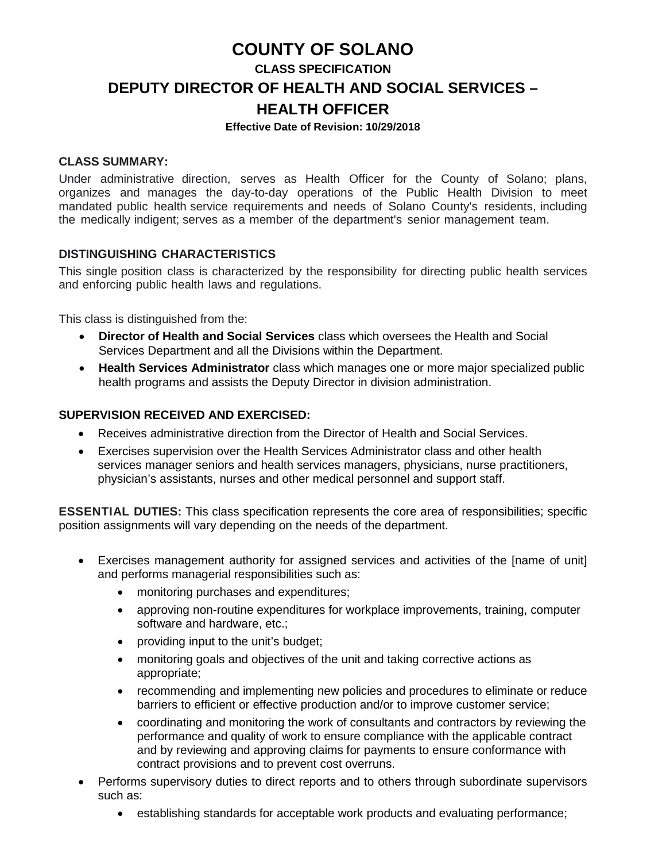## **COUNTY OF SOLANO**

# **CLASS SPECIFICATION DEPUTY DIRECTOR OF HEALTH AND SOCIAL SERVICES – HEALTH OFFICER**

#### **Effective Date of Revision: 10/29/2018**

#### **CLASS SUMMARY:**

Under administrative direction, serves as Health Officer for the County of Solano; plans, organizes and manages the day-to-day operations of the Public Health Division to meet mandated public health service requirements and needs of Solano County's residents, including the medically indigent; serves as a member of the department's senior management team.

## **DISTINGUISHING CHARACTERISTICS**

This single position class is characterized by the responsibility for directing public health services and enforcing public health laws and regulations.

This class is distinguished from the:

- **Director of Health and Social Services** class which oversees the Health and Social Services Department and all the Divisions within the Department.
- **Health Services Administrator** class which manages one or more major specialized public health programs and assists the Deputy Director in division administration.

#### **SUPERVISION RECEIVED AND EXERCISED:**

- Receives administrative direction from the Director of Health and Social Services.
- Exercises supervision over the Health Services Administrator class and other health services manager seniors and health services managers, physicians, nurse practitioners, physician's assistants, nurses and other medical personnel and support staff.

**ESSENTIAL DUTIES:** This class specification represents the core area of responsibilities; specific position assignments will vary depending on the needs of the department.

- Exercises management authority for assigned services and activities of the [name of unit] and performs managerial responsibilities such as:
	- monitoring purchases and expenditures;
	- approving non-routine expenditures for workplace improvements, training, computer software and hardware, etc.;
	- providing input to the unit's budget;
	- monitoring goals and objectives of the unit and taking corrective actions as appropriate;
	- recommending and implementing new policies and procedures to eliminate or reduce barriers to efficient or effective production and/or to improve customer service;
	- coordinating and monitoring the work of consultants and contractors by reviewing the performance and quality of work to ensure compliance with the applicable contract and by reviewing and approving claims for payments to ensure conformance with contract provisions and to prevent cost overruns.
- Performs supervisory duties to direct reports and to others through subordinate supervisors such as:
	- establishing standards for acceptable work products and evaluating performance;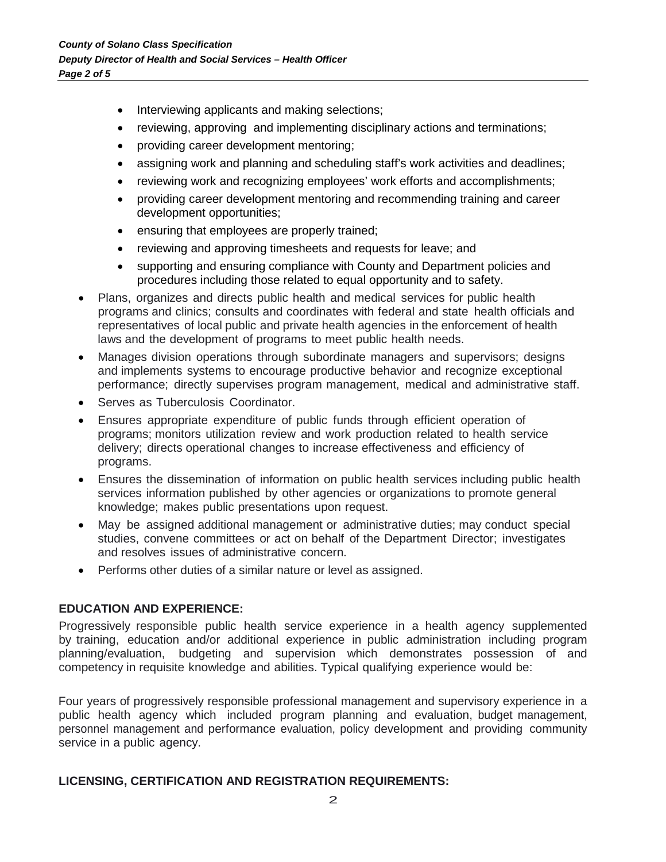- Interviewing applicants and making selections;
- reviewing, approving and implementing disciplinary actions and terminations;
- providing career development mentoring;
- assigning work and planning and scheduling staff's work activities and deadlines;
- reviewing work and recognizing employees' work efforts and accomplishments;
- providing career development mentoring and recommending training and career development opportunities;
- ensuring that employees are properly trained;
- reviewing and approving timesheets and requests for leave; and
- supporting and ensuring compliance with County and Department policies and procedures including those related to equal opportunity and to safety.
- Plans, organizes and directs public health and medical services for public health programs and clinics; consults and coordinates with federal and state health officials and representatives of local public and private health agencies in the enforcement of health laws and the development of programs to meet public health needs.
- Manages division operations through subordinate managers and supervisors; designs and implements systems to encourage productive behavior and recognize exceptional performance; directly supervises program management, medical and administrative staff.
- Serves as Tuberculosis Coordinator.
- Ensures appropriate expenditure of public funds through efficient operation of programs; monitors utilization review and work production related to health service delivery; directs operational changes to increase effectiveness and efficiency of programs.
- Ensures the dissemination of information on public health services including public health services information published by other agencies or organizations to promote general knowledge; makes public presentations upon request.
- May be assigned additional management or administrative duties; may conduct special studies, convene committees or act on behalf of the Department Director; investigates and resolves issues of administrative concern.
- Performs other duties of a similar nature or level as assigned.

## **EDUCATION AND EXPERIENCE:**

Progressively responsible public health service experience in a health agency supplemented by training, education and/or additional experience in public administration including program planning/evaluation, budgeting and supervision which demonstrates possession of and competency in requisite knowledge and abilities. Typical qualifying experience would be:

Four years of progressively responsible professional management and supervisory experience in a public health agency which included program planning and evaluation, budget management, personnel management and performance evaluation, policy development and providing community service in a public agency.

## **LICENSING, CERTIFICATION AND REGISTRATION REQUIREMENTS:**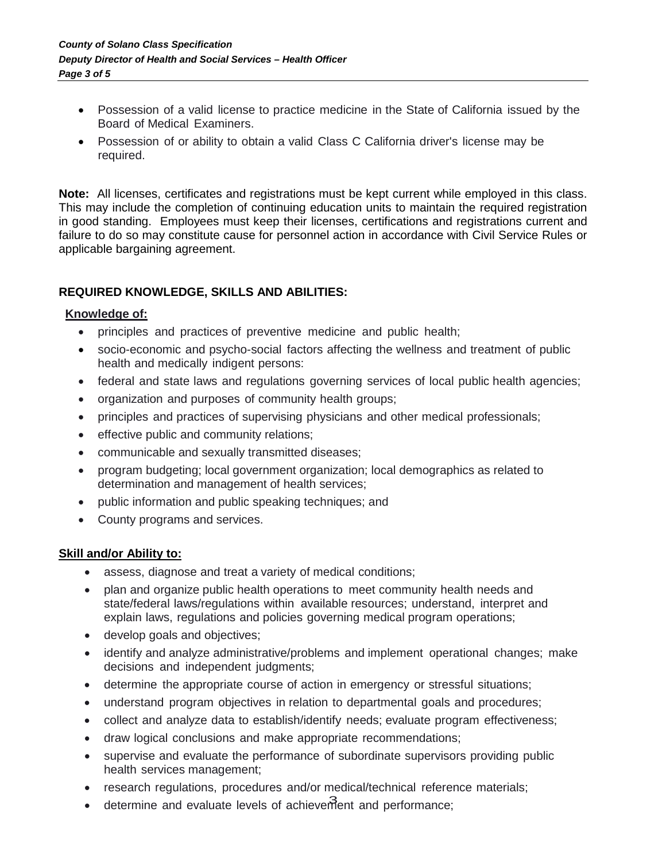- Possession of a valid license to practice medicine in the State of California issued by the Board of Medical Examiners.
- Possession of or ability to obtain a valid Class C California driver's license may be required.

**Note:** All licenses, certificates and registrations must be kept current while employed in this class. This may include the completion of continuing education units to maintain the required registration in good standing. Employees must keep their licenses, certifications and registrations current and failure to do so may constitute cause for personnel action in accordance with Civil Service Rules or applicable bargaining agreement.

## **REQUIRED KNOWLEDGE, SKILLS AND ABILITIES:**

#### **Knowledge of:**

- principles and practices of preventive medicine and public health;
- socio-economic and psycho-social factors affecting the wellness and treatment of public health and medically indigent persons:
- federal and state laws and regulations governing services of local public health agencies;
- organization and purposes of community health groups;
- principles and practices of supervising physicians and other medical professionals;
- effective public and community relations;
- communicable and sexually transmitted diseases;
- program budgeting; local government organization; local demographics as related to determination and management of health services;
- public information and public speaking techniques; and
- County programs and services.

#### **Skill and/or Ability to:**

- assess, diagnose and treat a variety of medical conditions;
- plan and organize public health operations to meet community health needs and state/federal laws/regulations within available resources; understand, interpret and explain laws, regulations and policies governing medical program operations;
- develop goals and objectives;
- identify and analyze administrative/problems and implement operational changes; make decisions and independent judgments;
- determine the appropriate course of action in emergency or stressful situations;
- understand program objectives in relation to departmental goals and procedures;
- collect and analyze data to establish/identify needs; evaluate program effectiveness;
- draw logical conclusions and make appropriate recommendations;
- supervise and evaluate the performance of subordinate supervisors providing public health services management;
- research regulations, procedures and/or medical/technical reference materials;
- determine and evaluate levels of achievement and performance;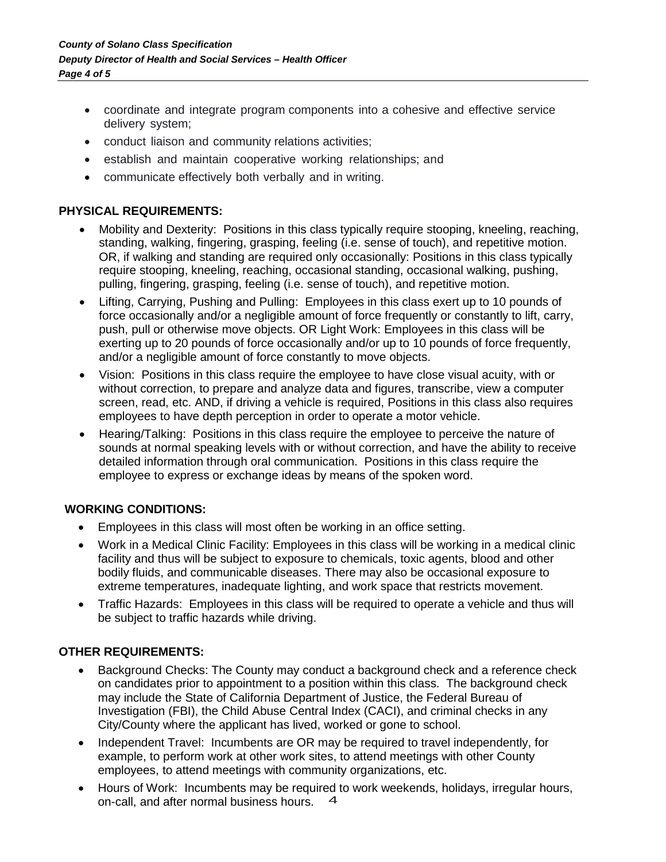- coordinate and integrate program components into a cohesive and effective service delivery system;
- conduct liaison and community relations activities;
- establish and maintain cooperative working relationships; and
- communicate effectively both verbally and in writing.

## **PHYSICAL REQUIREMENTS:**

- Mobility and Dexterity: Positions in this class typically require stooping, kneeling, reaching, standing, walking, fingering, grasping, feeling (i.e. sense of touch), and repetitive motion. OR, if walking and standing are required only occasionally: Positions in this class typically require stooping, kneeling, reaching, occasional standing, occasional walking, pushing, pulling, fingering, grasping, feeling (i.e. sense of touch), and repetitive motion.
- Lifting, Carrying, Pushing and Pulling: Employees in this class exert up to 10 pounds of force occasionally and/or a negligible amount of force frequently or constantly to lift, carry, push, pull or otherwise move objects. OR Light Work: Employees in this class will be exerting up to 20 pounds of force occasionally and/or up to 10 pounds of force frequently, and/or a negligible amount of force constantly to move objects.
- Vision: Positions in this class require the employee to have close visual acuity, with or without correction, to prepare and analyze data and figures, transcribe, view a computer screen, read, etc. AND, if driving a vehicle is required, Positions in this class also requires employees to have depth perception in order to operate a motor vehicle.
- Hearing/Talking: Positions in this class require the employee to perceive the nature of sounds at normal speaking levels with or without correction, and have the ability to receive detailed information through oral communication. Positions in this class require the employee to express or exchange ideas by means of the spoken word.

## **WORKING CONDITIONS:**

- Employees in this class will most often be working in an office setting.
- Work in a Medical Clinic Facility: Employees in this class will be working in a medical clinic facility and thus will be subject to exposure to chemicals, toxic agents, blood and other bodily fluids, and communicable diseases. There may also be occasional exposure to extreme temperatures, inadequate lighting, and work space that restricts movement.
- Traffic Hazards: Employees in this class will be required to operate a vehicle and thus will be subject to traffic hazards while driving.

## **OTHER REQUIREMENTS:**

- Background Checks: The County may conduct a background check and a reference check on candidates prior to appointment to a position within this class. The background check may include the State of California Department of Justice, the Federal Bureau of Investigation (FBI), the Child Abuse Central Index (CACI), and criminal checks in any City/County where the applicant has lived, worked or gone to school.
- Independent Travel: Incumbents are OR may be required to travel independently, for example, to perform work at other work sites, to attend meetings with other County employees, to attend meetings with community organizations, etc.
- 4 on-call, and after normal business hours.• Hours of Work: Incumbents may be required to work weekends, holidays, irregular hours,